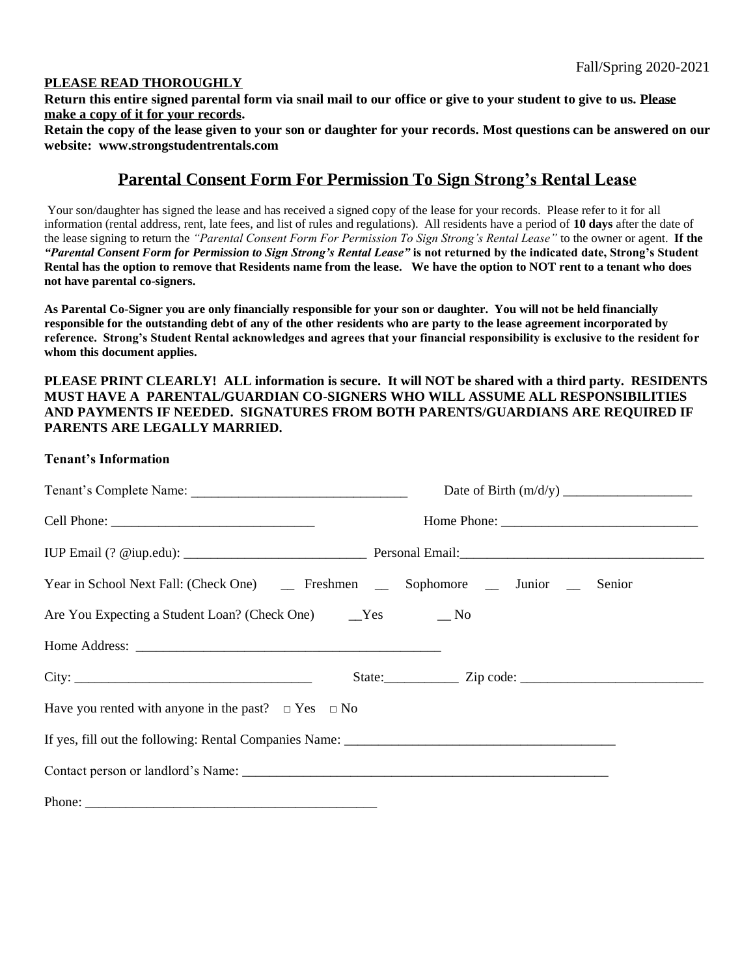# **PLEASE READ THOROUGHLY**

**Return this entire signed parental form via snail mail to our office or give to your student to give to us. Please make a copy of it for your records.** 

**Retain the copy of the lease given to your son or daughter for your records. Most questions can be answered on our website: www.strongstudentrentals.com**

# **Parental Consent Form For Permission To Sign Strong's Rental Lease**

Your son/daughter has signed the lease and has received a signed copy of the lease for your records. Please refer to it for all information (rental address, rent, late fees, and list of rules and regulations). All residents have a period of **10 days** after the date of the lease signing to return the *"Parental Consent Form For Permission To Sign Strong's Rental Lease"* to the owner or agent. **If the**  *"Parental Consent Form for Permission to Sign Strong's Rental Lease"* **is not returned by the indicated date, Strong's Student Rental has the option to remove that Residents name from the lease. We have the option to NOT rent to a tenant who does not have parental co-signers.** 

**As Parental Co-Signer you are only financially responsible for your son or daughter. You will not be held financially responsible for the outstanding debt of any of the other residents who are party to the lease agreement incorporated by reference. Strong's Student Rental acknowledges and agrees that your financial responsibility is exclusive to the resident for whom this document applies.** 

# **PLEASE PRINT CLEARLY! ALL information is secure. It will NOT be shared with a third party. RESIDENTS MUST HAVE A PARENTAL/GUARDIAN CO-SIGNERS WHO WILL ASSUME ALL RESPONSIBILITIES AND PAYMENTS IF NEEDED. SIGNATURES FROM BOTH PARENTS/GUARDIANS ARE REQUIRED IF PARENTS ARE LEGALLY MARRIED.**

## **Tenant's Information**

| Year in School Next Fall: (Check One) _______ Freshmen ________ Sophomore _______ Junior ____ |  | Senior |
|-----------------------------------------------------------------------------------------------|--|--------|
|                                                                                               |  |        |
|                                                                                               |  |        |
|                                                                                               |  |        |
| Have you rented with anyone in the past? $\Box$ Yes $\Box$ No                                 |  |        |
|                                                                                               |  |        |
|                                                                                               |  |        |
|                                                                                               |  |        |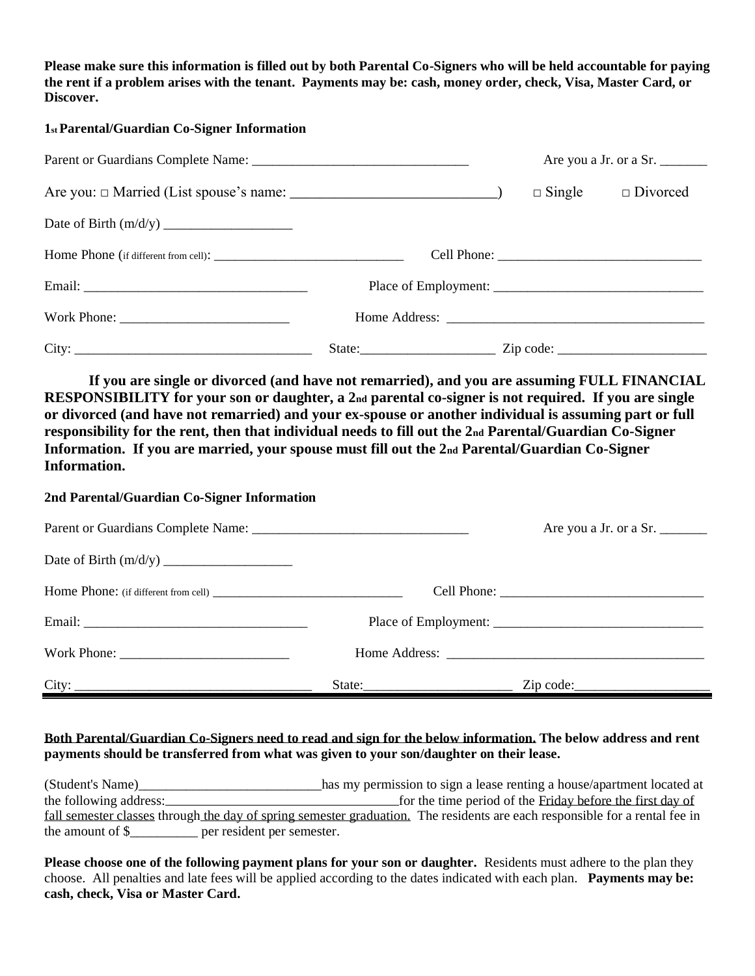**Please make sure this information is filled out by both Parental Co-Signers who will be held accountable for paying the rent if a problem arises with the tenant. Payments may be: cash, money order, check, Visa, Master Card, or Discover.**

### **1st Parental/Guardian Co-Signer Information**

|  | Are you a Jr. or a Sr.        |
|--|-------------------------------|
|  | $\Box$ Single $\Box$ Divorced |
|  |                               |
|  |                               |
|  |                               |
|  |                               |
|  |                               |

**If you are single or divorced (and have not remarried), and you are assuming FULL FINANCIAL RESPONSIBILITY for your son or daughter, a 2nd parental co-signer is not required. If you are single or divorced (and have not remarried) and your ex-spouse or another individual is assuming part or full responsibility for the rent, then that individual needs to fill out the 2nd Parental/Guardian Co-Signer Information. If you are married, your spouse must fill out the 2nd Parental/Guardian Co-Signer Information.** 

#### **2nd Parental/Guardian Co-Signer Information**

|       |        | Are you a Jr. or a Sr. |
|-------|--------|------------------------|
|       |        |                        |
|       |        |                        |
|       |        |                        |
|       |        |                        |
| City: | State: | $\mathsf{Zip code:}\_$ |

# **Both Parental/Guardian Co-Signers need to read and sign for the below information. The below address and rent payments should be transferred from what was given to your son/daughter on their lease.**

| (Student's Name)                               | has my permission to sign a lease renting a house/apartment located at                                                      |
|------------------------------------------------|-----------------------------------------------------------------------------------------------------------------------------|
| the following address:                         | for the time period of the Friday before the first day of                                                                   |
|                                                | fall semester classes through the day of spring semester graduation. The residents are each responsible for a rental fee in |
| the amount of \$<br>per resident per semester. |                                                                                                                             |

**Please choose one of the following payment plans for your son or daughter.** Residents must adhere to the plan they choose. All penalties and late fees will be applied according to the dates indicated with each plan. **Payments may be: cash, check, Visa or Master Card.**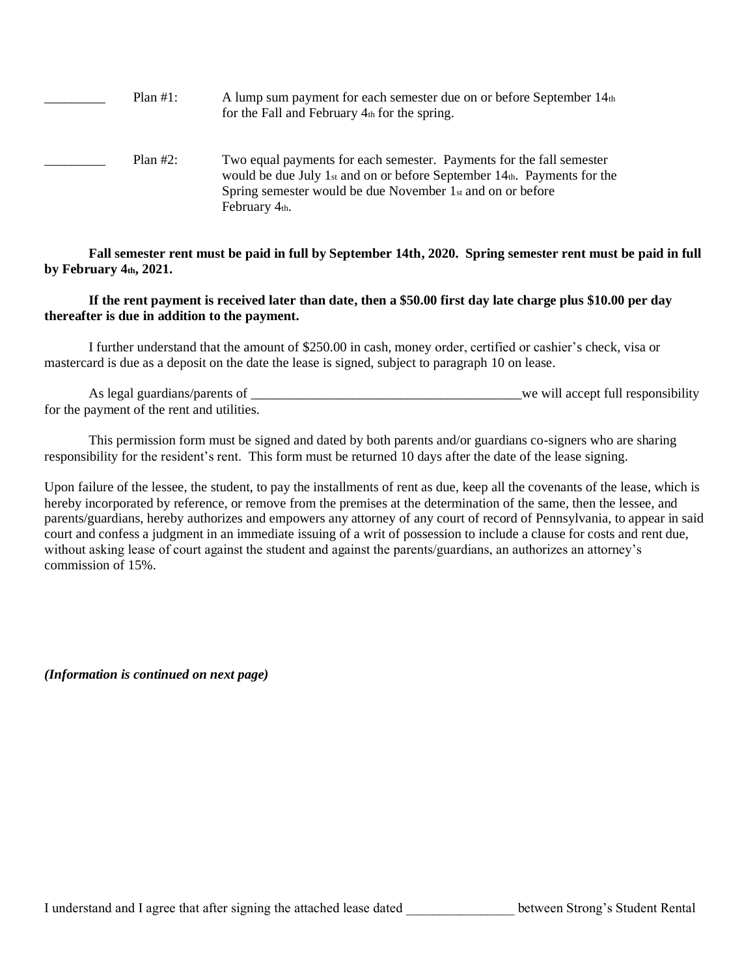Plan #1: A lump sum payment for each semester due on or before September 14th for the Fall and February  $4<sub>th</sub>$  for the spring.

Plan #2: Two equal payments for each semester. Payments for the fall semester would be due July 1st and on or before September 14th. Payments for the Spring semester would be due November 1st and on or before February 4th.

**Fall semester rent must be paid in full by September 14th, 2020. Spring semester rent must be paid in full by February 4th, 2021.**

 **If the rent payment is received later than date, then a \$50.00 first day late charge plus \$10.00 per day thereafter is due in addition to the payment.**

I further understand that the amount of \$250.00 in cash, money order, certified or cashier's check, visa or mastercard is due as a deposit on the date the lease is signed, subject to paragraph 10 on lease.

As legal guardians/parents of \_\_\_\_\_\_\_\_\_\_\_\_\_\_\_\_\_\_\_\_\_\_\_\_\_\_\_\_\_\_\_\_\_\_\_\_\_\_\_\_we will accept full responsibility for the payment of the rent and utilities.

This permission form must be signed and dated by both parents and/or guardians co-signers who are sharing responsibility for the resident's rent. This form must be returned 10 days after the date of the lease signing.

Upon failure of the lessee, the student, to pay the installments of rent as due, keep all the covenants of the lease, which is hereby incorporated by reference, or remove from the premises at the determination of the same, then the lessee, and parents/guardians, hereby authorizes and empowers any attorney of any court of record of Pennsylvania, to appear in said court and confess a judgment in an immediate issuing of a writ of possession to include a clause for costs and rent due, without asking lease of court against the student and against the parents/guardians, an authorizes an attorney's commission of 15%.

*(Information is continued on next page)*